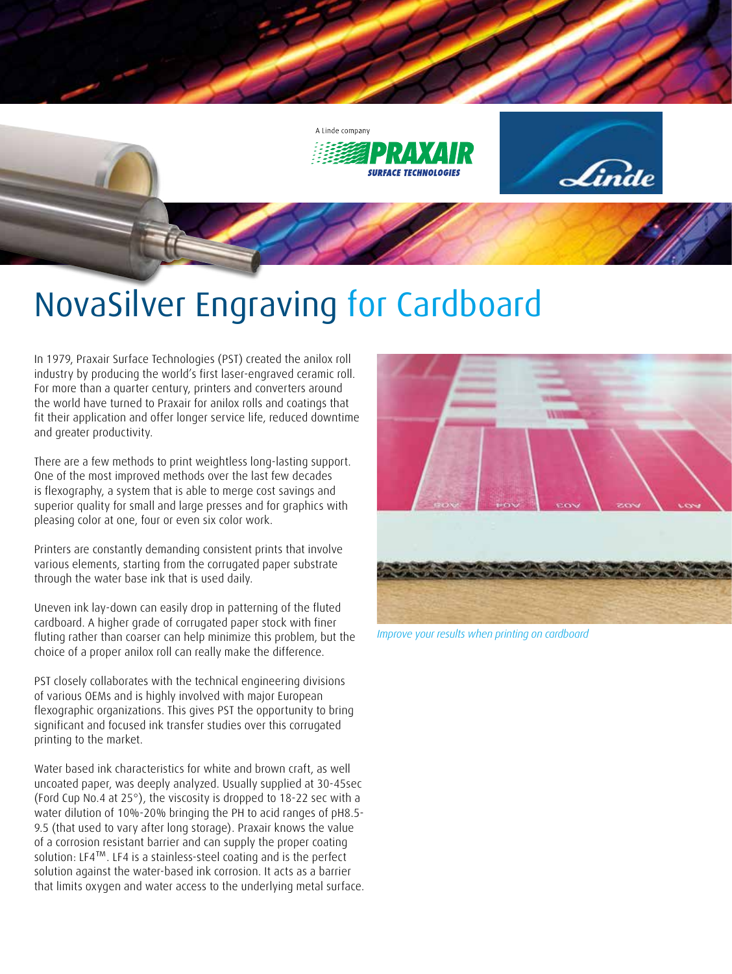

## NovaSilver Engraving for Cardboard

In 1979, Praxair Surface Technologies (PST) created the anilox roll industry by producing the world's first laser-engraved ceramic roll. For more than a quarter century, printers and converters around the world have turned to Praxair for anilox rolls and coatings that fit their application and offer longer service life, reduced downtime and greater productivity.

There are a few methods to print weightless long-lasting support. One of the most improved methods over the last few decades is flexography, a system that is able to merge cost savings and superior quality for small and large presses and for graphics with pleasing color at one, four or even six color work.

Printers are constantly demanding consistent prints that involve various elements, starting from the corrugated paper substrate through the water base ink that is used daily.

Uneven ink lay-down can easily drop in patterning of the fluted cardboard. A higher grade of corrugated paper stock with finer fluting rather than coarser can help minimize this problem, but the choice of a proper anilox roll can really make the difference.

PST closely collaborates with the technical engineering divisions of various OEMs and is highly involved with major European flexographic organizations. This gives PST the opportunity to bring significant and focused ink transfer studies over this corrugated printing to the market.

Water based ink characteristics for white and brown craft, as well uncoated paper, was deeply analyzed. Usually supplied at 30-45sec (Ford Cup No.4 at 25°), the viscosity is dropped to 18-22 sec with a water dilution of 10%-20% bringing the PH to acid ranges of pH8.5- 9.5 (that used to vary after long storage). Praxair knows the value of a corrosion resistant barrier and can supply the proper coating solution: LF4™. LF4 is a stainless-steel coating and is the perfect solution against the water-based ink corrosion. It acts as a barrier that limits oxygen and water access to the underlying metal surface.



*Improve your results when printing on cardboard*